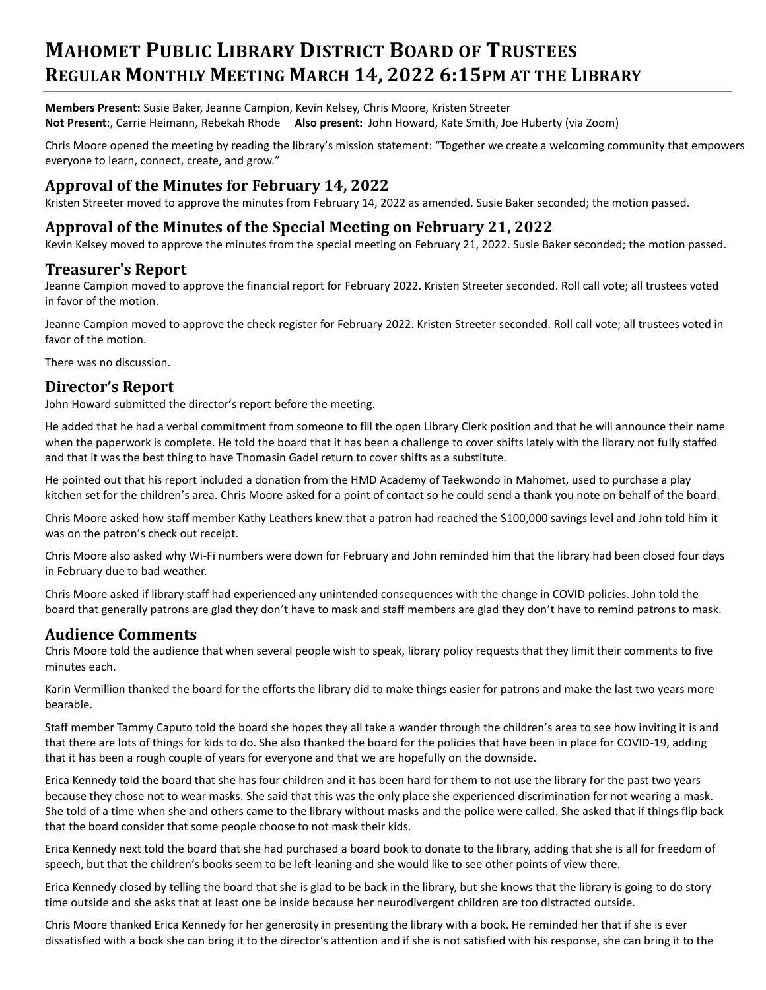# **MAHOMET PUBLIC LIBRARY DISTRICT BOARD OF TRUSTEES REGULAR MONTHLY MEETING MARCH 14, 2022 6:15PM AT THE LIBRARY**

**Members Present:** Susie Baker, Jeanne Campion, Kevin Kelsey, Chris Moore, Kristen Streeter **Not Present**:, Carrie Heimann, Rebekah Rhode **Also present:** John Howard, Kate Smith, Joe Huberty (via Zoom)

Chris Moore opened the meeting by reading the library's mission statement: "Together we create a welcoming community that empowers everyone to learn, connect, create, and grow."

# **Approval of the Minutes for February 14, 2022**

Kristen Streeter moved to approve the minutes from February 14, 2022 as amended. Susie Baker seconded; the motion passed.

#### **Approval of the Minutes of the Special Meeting on February 21, 2022**

Kevin Kelsey moved to approve the minutes from the special meeting on February 21, 2022. Susie Baker seconded; the motion passed.

#### **Treasurer's Report**

Jeanne Campion moved to approve the financial report for February 2022. Kristen Streeter seconded. Roll call vote; all trustees voted in favor of the motion.

Jeanne Campion moved to approve the check register for February 2022. Kristen Streeter seconded. Roll call vote; all trustees voted in favor of the motion.

There was no discussion.

### **Director's Report**

John Howard submitted the director's report before the meeting.

He added that he had a verbal commitment from someone to fill the open Library Clerk position and that he will announce their name when the paperwork is complete. He told the board that it has been a challenge to cover shifts lately with the library not fully staffed and that it was the best thing to have Thomasin Gadel return to cover shifts as a substitute.

He pointed out that his report included a donation from the HMD Academy of Taekwondo in Mahomet, used to purchase a play kitchen set for the children's area. Chris Moore asked for a point of contact so he could send a thank you note on behalf of the board.

Chris Moore asked how staff member Kathy Leathers knew that a patron had reached the \$100,000 savings level and John told him it was on the patron's check out receipt.

Chris Moore also asked why Wi-Fi numbers were down for February and John reminded him that the library had been closed four days in February due to bad weather.

Chris Moore asked if library staff had experienced any unintended consequences with the change in COVID policies. John told the board that generally patrons are glad they don't have to mask and staff members are glad they don't have to remind patrons to mask.

#### **Audience Comments**

Chris Moore told the audience that when several people wish to speak, library policy requests that they limit their comments to five minutes each.

Karin Vermillion thanked the board for the efforts the library did to make things easier for patrons and make the last two years more bearable.

Staff member Tammy Caputo told the board she hopes they all take a wander through the children's area to see how inviting it is and that there are lots of things for kids to do. She also thanked the board for the policies that have been in place for COVID-19, adding that it has been a rough couple of years for everyone and that we are hopefully on the downside.

Erica Kennedy told the board that she has four children and it has been hard for them to not use the library for the past two years because they chose not to wear masks. She said that this was the only place she experienced discrimination for not wearing a mask. She told of a time when she and others came to the library without masks and the police were called. She asked that if things flip back that the board consider that some people choose to not mask their kids.

Erica Kennedy next told the board that she had purchased a board book to donate to the library, adding that she is all for freedom of speech, but that the children's books seem to be left-leaning and she would like to see other points of view there.

Erica Kennedy closed by telling the board that she is glad to be back in the library, but she knows that the library is going to do story time outside and she asks that at least one be inside because her neurodivergent children are too distracted outside.

Chris Moore thanked Erica Kennedy for her generosity in presenting the library with a book. He reminded her that if she is ever dissatisfied with a book she can bring it to the director's attention and if she is not satisfied with his response, she can bring it to the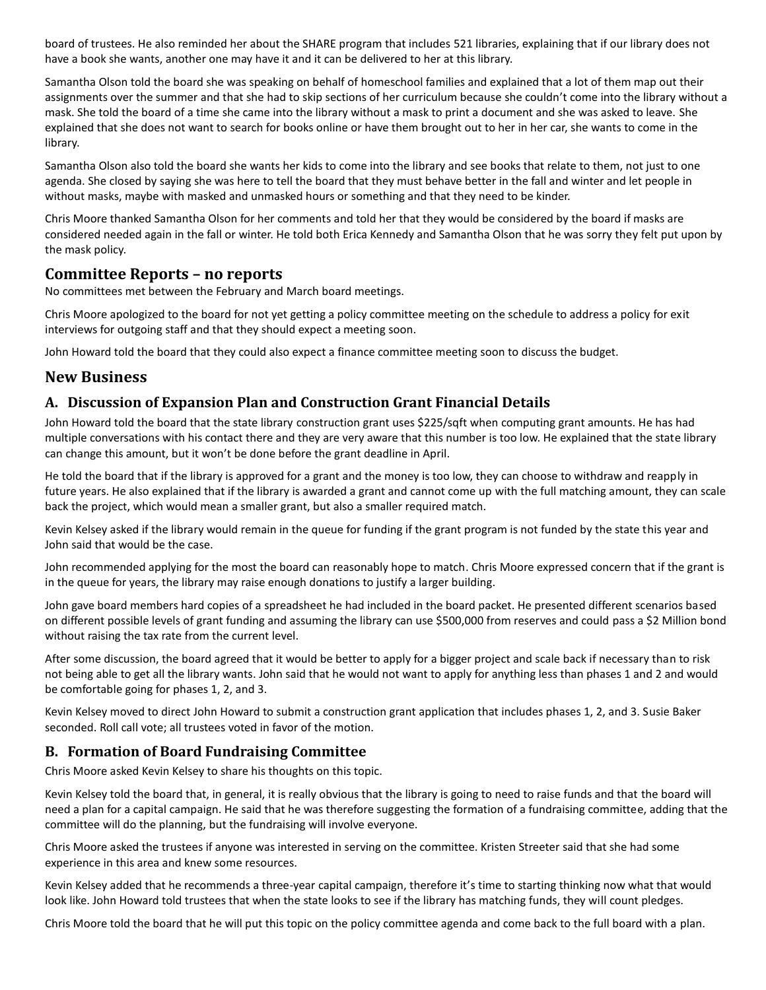board of trustees. He also reminded her about the SHARE program that includes 521 libraries, explaining that if our library does not have a book she wants, another one may have it and it can be delivered to her at this library.

Samantha Olson told the board she was speaking on behalf of homeschool families and explained that a lot of them map out their assignments over the summer and that she had to skip sections of her curriculum because she couldn't come into the library without a mask. She told the board of a time she came into the library without a mask to print a document and she was asked to leave. She explained that she does not want to search for books online or have them brought out to her in her car, she wants to come in the library.

Samantha Olson also told the board she wants her kids to come into the library and see books that relate to them, not just to one agenda. She closed by saying she was here to tell the board that they must behave better in the fall and winter and let people in without masks, maybe with masked and unmasked hours or something and that they need to be kinder.

Chris Moore thanked Samantha Olson for her comments and told her that they would be considered by the board if masks are considered needed again in the fall or winter. He told both Erica Kennedy and Samantha Olson that he was sorry they felt put upon by the mask policy.

#### **Committee Reports – no reports**

No committees met between the February and March board meetings.

Chris Moore apologized to the board for not yet getting a policy committee meeting on the schedule to address a policy for exit interviews for outgoing staff and that they should expect a meeting soon.

John Howard told the board that they could also expect a finance committee meeting soon to discuss the budget.

#### **New Business**

#### **A. Discussion of Expansion Plan and Construction Grant Financial Details**

John Howard told the board that the state library construction grant uses \$225/sqft when computing grant amounts. He has had multiple conversations with his contact there and they are very aware that this number is too low. He explained that the state library can change this amount, but it won't be done before the grant deadline in April.

He told the board that if the library is approved for a grant and the money is too low, they can choose to withdraw and reapply in future years. He also explained that if the library is awarded a grant and cannot come up with the full matching amount, they can scale back the project, which would mean a smaller grant, but also a smaller required match.

Kevin Kelsey asked if the library would remain in the queue for funding if the grant program is not funded by the state this year and John said that would be the case.

John recommended applying for the most the board can reasonably hope to match. Chris Moore expressed concern that if the grant is in the queue for years, the library may raise enough donations to justify a larger building.

John gave board members hard copies of a spreadsheet he had included in the board packet. He presented different scenarios based on different possible levels of grant funding and assuming the library can use \$500,000 from reserves and could pass a \$2 Million bond without raising the tax rate from the current level.

After some discussion, the board agreed that it would be better to apply for a bigger project and scale back if necessary than to risk not being able to get all the library wants. John said that he would not want to apply for anything less than phases 1 and 2 and would be comfortable going for phases 1, 2, and 3.

Kevin Kelsey moved to direct John Howard to submit a construction grant application that includes phases 1, 2, and 3. Susie Baker seconded. Roll call vote; all trustees voted in favor of the motion.

#### **B. Formation of Board Fundraising Committee**

Chris Moore asked Kevin Kelsey to share his thoughts on this topic.

Kevin Kelsey told the board that, in general, it is really obvious that the library is going to need to raise funds and that the board will need a plan for a capital campaign. He said that he was therefore suggesting the formation of a fundraising committee, adding that the committee will do the planning, but the fundraising will involve everyone.

Chris Moore asked the trustees if anyone was interested in serving on the committee. Kristen Streeter said that she had some experience in this area and knew some resources.

Kevin Kelsey added that he recommends a three-year capital campaign, therefore it's time to starting thinking now what that would look like. John Howard told trustees that when the state looks to see if the library has matching funds, they will count pledges.

Chris Moore told the board that he will put this topic on the policy committee agenda and come back to the full board with a plan.